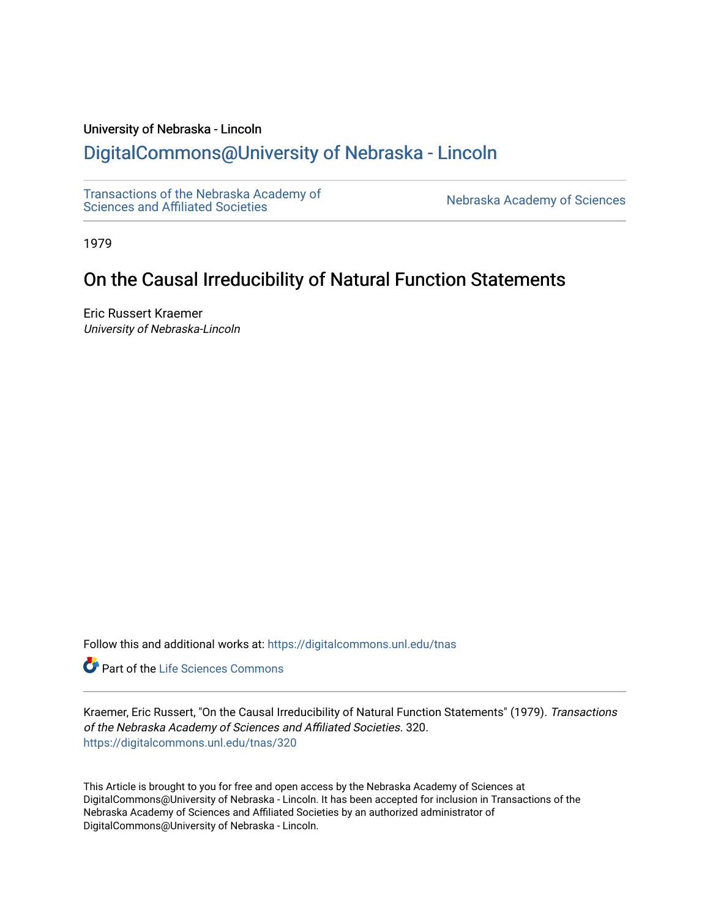## University of Nebraska - Lincoln

# [DigitalCommons@University of Nebraska - Lincoln](https://digitalcommons.unl.edu/)

[Transactions of the Nebraska Academy of](https://digitalcommons.unl.edu/tnas) 

Nebraska Academy of Sciences

1979

# On the Causal Irreducibility of Natural Function Statements

Eric Russert Kraemer University of Nebraska-Lincoln

Follow this and additional works at: [https://digitalcommons.unl.edu/tnas](https://digitalcommons.unl.edu/tnas?utm_source=digitalcommons.unl.edu%2Ftnas%2F320&utm_medium=PDF&utm_campaign=PDFCoverPages) 

**C** Part of the Life Sciences Commons

Kraemer, Eric Russert, "On the Causal Irreducibility of Natural Function Statements" (1979). Transactions of the Nebraska Academy of Sciences and Affiliated Societies. 320. [https://digitalcommons.unl.edu/tnas/320](https://digitalcommons.unl.edu/tnas/320?utm_source=digitalcommons.unl.edu%2Ftnas%2F320&utm_medium=PDF&utm_campaign=PDFCoverPages) 

This Article is brought to you for free and open access by the Nebraska Academy of Sciences at DigitalCommons@University of Nebraska - Lincoln. It has been accepted for inclusion in Transactions of the Nebraska Academy of Sciences and Affiliated Societies by an authorized administrator of DigitalCommons@University of Nebraska - Lincoln.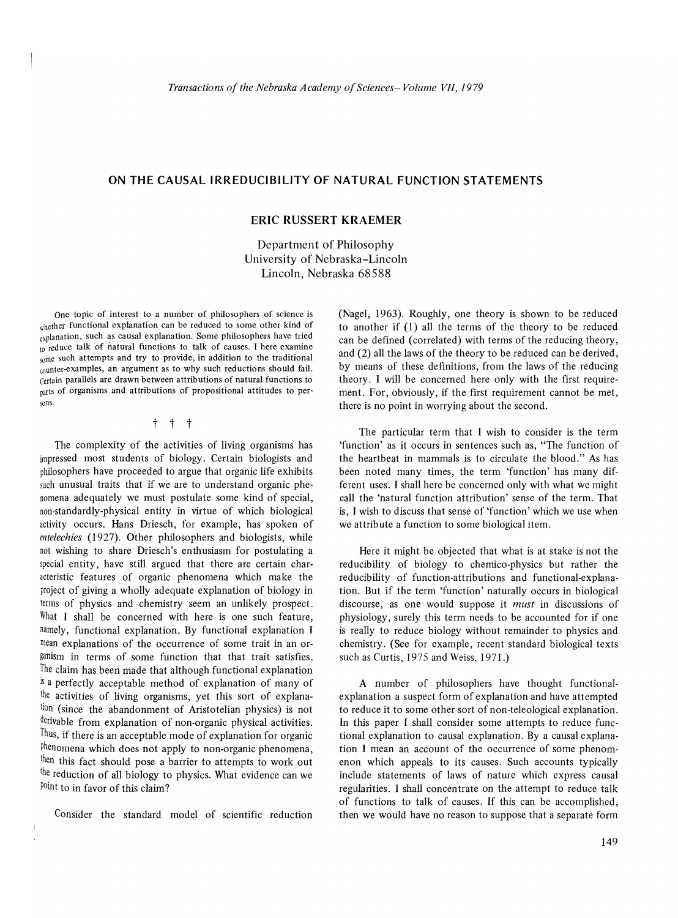### **ON THE CAUSAL IRREDUCIBILITY OF NATURAL FUNCTION STATEMENTS**

### **ERIC RUSSERT KRAEMER**

Department of Philosophy University of Nebraska-Lincoln Lincoln, Nebraska 68588

One topic of interest to a number of philosophers of science is whether functional explanation can be reduced to some other kind of explanation, such as causal explanation. Some philosophers have tried to reduce talk of natural functions to talk of causes. I here examine some such attempts and try to provide, in addition to the traditional counter-examples, an argument as to why such reductions should fail. Certain parallels are drawn between attributions of natural functions to <sub>parts</sub> of organisms and attributions of propositional attitudes to persons.

t t t

The complexity of the activities of living organisms has impressed most students of biology. Certain biologists and philosophers have proceeded to argue that organic life exhibits such unusual traits that if we are to understand organic phenomena adequately we must postulate some kind of special, non-standardly-physical entity in virtue of which biological activity occurs. Hans Driesch, for example, has spoken of entelechies (1927). Other philosophers and biologists, while not wishing to share Driesch's enthusiasm for postulating a special entity, have still argued that there are certain characteristic features of organic phenomena which make the project of giving a wholly adequate explanation of biology in terms of physics and chemistry seem an unlikely prospect. What I shall be concerned with here is one such feature, namely, functional explanation. By functional explanation I mean explanations of the occurrence of some trait in an organism in terms of some function that that trait satisfies. The claim has been made that although functional explanation is a perfectly acceptable method of explanation of many of the activities of living organisms, yet this sort of explanation (since the abandonment of Aristotelian physics) is not derivable from explanation of non-organic physical activities. Thus, if there is an acceptable mode of explanation for organic phenomena which does not apply to non-organic phenomena, then this fact should pose a barrier to attempts to work out the reduction of all biology to physics. What evidence can we Point to in favor of this claim?

Consider the standard model of scientific reduction

(Nagel, 1963). Roughly, one theory is shown to be reduced to another if (1) all the terms of the theory to be reduced can be defined (correlated) with terms of the reducing theory, and (2) all the laws of the theory to be reduced can be derived, by means of these definitions, from the laws of the reducing theory. I will be concerned here only with the first requirement. For, obviously, if the first requirement cannot be met, there is no point in worrying about the second.

The particular term that I wish to consider is the term 'function' as it occurs in sentences such as, "The function of the heartbeat in mammals is to circulate the blood." As has been noted many times, the term 'function' has many different uses. I shall here be concerned only with what we might call the 'natural function attribution' sense of the term. That is, I wish to discuss that sense of 'function' which we use when we attribute a function to some biological item.

Here it might be objected that what is at stake is not the reducibility of biology to chemico-physics but rather the reducibility of function-attributions and functional-explanation. But if the term 'function' naturally occurs in biological discourse, as one would suppose it *must* in discussions of physiology, surely this term needs to be accounted for if one is really to reduce biology without remainder to physics and chemistry. (See for example, recent standard biological texts such as Curtis, 1975 and Weiss, 1971.)

A number of philosophers have thought functionalexplanation a suspect form of explanation and have attempted to reduce it to some other sort of non-teleological explanation. In this paper I shall consider some attempts to reduce functional explanation to causal explanation. By a causal explanation I mean an account of the occurrence of some phenomenon which appeals to its causes. Such accounts typically include statements of laws of nature which express causal regularities. I shall concentrate on the attempt to reduce talk of functions to talk of causes. If this can be accomplished, then we would have no reason to suppose that a separate form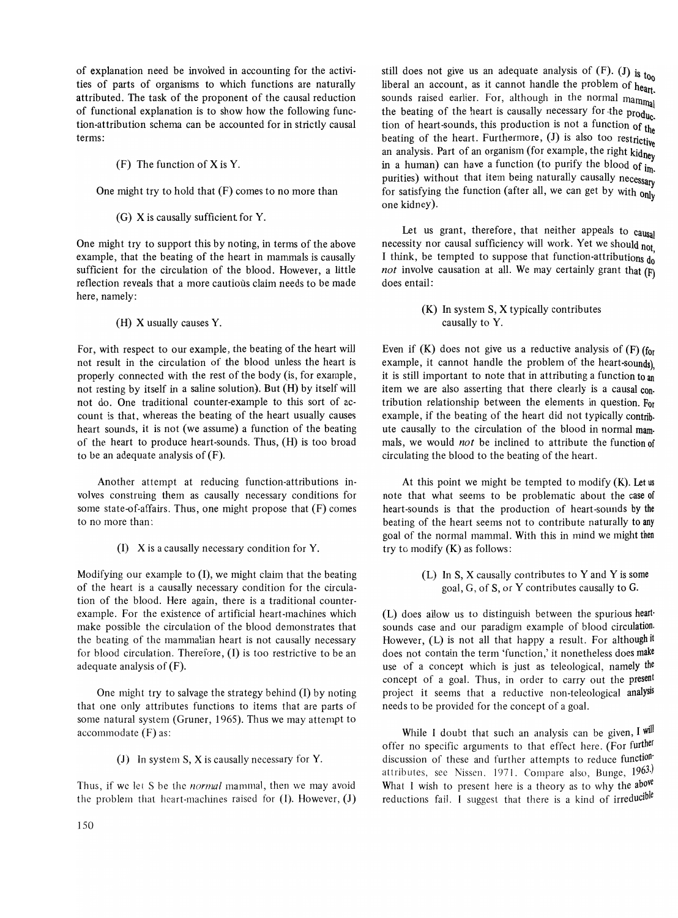of explanation need be involved in accounting for the activities of parts of organisms to which functions are naturally attributed. The task of the proponent of the causal reduction of functional explanation is to show how the following function-attribution schema can be accounted for in strictly causal terms:

(F) The function of X is Y.

One might try to hold that (F) comes to no more than

(G) X is causally sufficient for Y.

One might try to support this by noting, in terms of the above example, that the beating of the heart in mammals is causally sufficient for the circulation of the blood. However, a little reflection reveals that a more cautious claim needs to be made here, namely:

(H) X usually causes Y.

For, with respect to our example, the beating of the heart will not result in the circulation of the blood unless the heart is properly connected with the rest of the body (is, for example, not resting by itself in a saline solution). But (H) by itself will not do. One traditional counter-example to this sort of account is that, whereas the beating of the heart usually causes heart sounds, it is not (we assume) a function of the beating of the heart to produce heart-sounds. Thus, (H) is too broad to be an adequate analysis of (F).

Another attempt at reducing function-attributions involves construing them as causally necessary conditions for some state-of-affairs. Thus, one might propose that (F) comes to no more than:

(I) X is a causally necessary condition for Y.

Modifying our example to (I), we might claim that the beating of the heart is a causally necessary condition for the circulation of the blood. Here again, there is a traditional counterexample. For the existence of artificial heart-machines which make possible the circulation of the blood demonstrates that the beating of the mammalian heart is not causally necessary for hlood circulation. Therefore, (I) is too restrictive to be an adequate analysis of (F).

One might try to salvage the strategy behind (1) by noting that one only attributes functions to items that are parts of some natural system (Gruner, 1965). Thus we may attempt to accommodate (F) as:

(J) In system S, X is causally necessary for Y.

Thus, if we let S be the *normal* mammal, then we may avoid the problem that heart-machines raised for  $(I)$ . However,  $(J)$ 

still does not give us an adequate analysis of  $(F)$ . (J) is  $t_{00}$ liberal an account, as it cannot handle the problem of  $h_{\text{eqn}}$ . sounds raised earlier. For, although in the normal mammal the beating of the heart is causally necessary for the  $prod_{\mu}$ tion of heart-sounds, this production is not a function of the beating of the heart. Furthermore, (J) is also too restrictive an analysis. Part of an organism (for example, the right  $\frac{1}{k \cdot k}$ in a human) can have a function (to purify the blood of  $\frac{1}{\text{Im}}$ purities) without that item being naturally causally necessary for satisfying the function (after all, we can get by with  $_{0}$ ) one kidney).

Let us grant, therefore, that neither appeals to causal necessity nor causal sufficiency will work. Yet we should not I think, be tempted to suppose that function-attributions  $\frac{1}{10}$ *not* involve causation at all. We may certainly grant that (F) does entail:

> (K) In system S, X typically contributes causally to Y.

Even if  $(K)$  does not give us a reductive analysis of  $(F)$  (for example, it cannot handle the problem of the heart-sounds) it is still important to note that in attributing a function to  $\overline{\mathbf{a}}$ item we are also asserting that there clearly is a causal con. tribution relationship between the elements in question. For example, if the beating of the heart did not typically contrib. ute causally to the circulation of the blood in normal mam. mals, we would *not* be inclined to attribute the function of circulating the blood to the beating of the heart.

At this point we might be tempted to modify  $(K)$ . Let us note that what seems to be problematic about the case of heart-sounds is that the production of heart-sounds by the beating of the heart seems not to contribute naturally to any goal of the normal mammal. With this in mind we might then try to modify (K) as follows:

> (L) In S, X causally contributes to Y and Y is some goal, G, of S, or Y contributes causally to G.

(L) does allow us to distinguish between the spurious heart· sounds case and our paradigm example of blood circulation. However, (L) is not all that happy a result. For although it does not contain the term 'function,' it nonetheless does make use of a concept which is just as teleological, namely the concept of a goal. Thus, in order to carry out the present project it seems that a reductive non-teleological analysis needs to be provided for the concept of a goal.

While I doubt that such an analysis can be given,  $I$  will offer no specific arguments to that effect here. (For further discussion of these and further attempts to reduce function' attributes, see Nissen. 1971. Compare also, Bunge, 1963.) What I wish to present here is a theory as to why the above reductions fail. I suggest that there is a kind of irreducible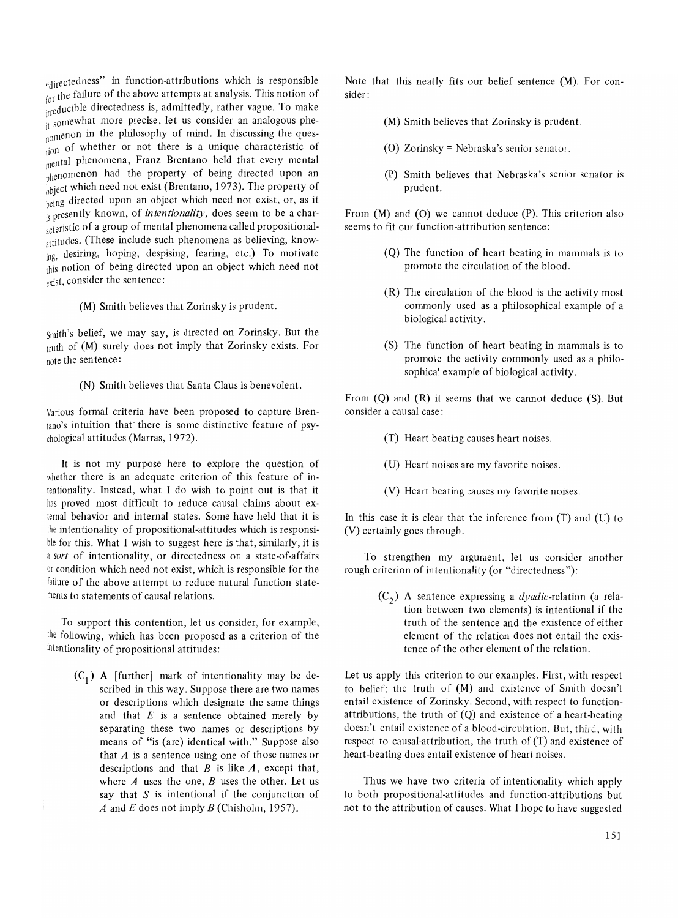"directedness" in function-attributions which is responsible for the failure of the above attempts at analysis. This notion of irreducible directedness is, admittedly, rather vague. To make <sup>11</sup> somewhat more precise, let us consider an analogous phe-\omenon in the philosophy of mind. In discussing the ques tion of whether or not there is a unique characteristic of mental phenomena, Franz Brentano held that every mental phenomenon had the property of being directed upon an  $_{\text{object}}^{\text{f}}$  which need not exist (Brentano, 1973). The property of being directed upon an object which need not exist, or, as it is presently known, of *intentionality,* does seem to be a characteristic of a group of mental phenomena called propositionalattitudes. (These include such phenomena as believing, knowing, desiring, hoping, despising, fearing, etc.) To motivate this notion of being directed upon an object which need not exist, consider the sentence:

(M) Smith believes that Zorinsky is prudent.

smith's belief, we may say, is directed on Zorinsky. But the truth of (M) surely does not imply that Zorinsky exists. For note the sentence:

(N) Smith believes that Santa Claus is benevolent.

Various formal criteria have been proposed to capture Brentano's intuition that there is some distinctive feature of psychological attitudes (Marras, 1972).

It is not my purpose here to explore the question of whether there is an adequate criterion of this feature of intentionality. Instead, what I do wish to point out is that it has proved most difficult to reduce causal claims about external behavior and internal states. Some have held that it is the intentionality of propositional-attitudes which is responsible for this. What I wish to suggest here is that, similarly, it is a *sort* of intentionality, or directedness on a state-of-affairs or condition which need not exist, which is responsible for the failure of the above attempt to reduce natural function statements to statements of causal relations.

To support this contention, let us consider, for example, the following, which has been proposed as a criterion of the intentionality of propositional attitudes:

 $(C_1)$  A [further] mark of intentionality may be described in this way. Suppose there are two names or descriptions which designate the same things and that  $E$  is a sentence obtained merely by separating these two names or descriptions by means of "is (are) identical with." Suppose also that  $A$  is a sentence using one of those names or descriptions and that  $B$  is like  $A$ , except that, where  $A$  uses the one,  $B$  uses the other. Let us say that  $S$  is intentional if the conjunction of *A* and *E* does not imply *B* (Chisholm, 1957).

Note that this neatly fits our belief sentence (M). For consider:

- (M) Smith believes that Zorinsky is prudent.
- (0) Zorinsky = Nebraska's senior senator.
- (P) Smith believes that Nebraska's senior senator is prudent.

From (M) and (O) we cannot deduce (P). This criterion also seems to fit our function-attribution sentence:

- (Q) The function of heart beating in mammals is to promote the circulation of the blood.
- (R) The circulation of the blood is the activity most commonly used as a philosophical example of a biological activity.
- (S) The function of heart beating in mammals is to promote the activity commonly used as a philosophical example of biological activity.

From (Q) and (R) it seems that we cannot deduce (S). But consider a causal case:

- (T) Heart beating causes heart noises.
- (U) Heart noises are my favorite noises.
- (V) Heart beating causes my favorite noises.

In this case it is clear that the inference from  $(T)$  and  $(U)$  to (V) certainly goes through.

To strengthen my argument, let us consider another rough criterion of intentionality (or "directedness"):

> (C2) A sentence expressing a *dyadic-relation* (a relation between two elements) is intentional if the truth of the sentence and the existence of either element of the relation does not entail the existence of the other element of the relation.

Let us apply this criterion to our examples. First, with respect to belief; the truth of (M) and existence of Smith doesn't entail existence of Zorinsky. Second, with respect to functionattributions, the truth of (Q) and existence of a heart-beating doesn't entail existence of a blood-circulation. But, third, with respect to causal-attribution, the truth of (T) and existence of heart-beating does entail existence of heart noises.

Thus we have two criteria of intentionality which apply to both propositional-attitudes and function-attributions but not to the attribution of causes. What I hope to have suggested